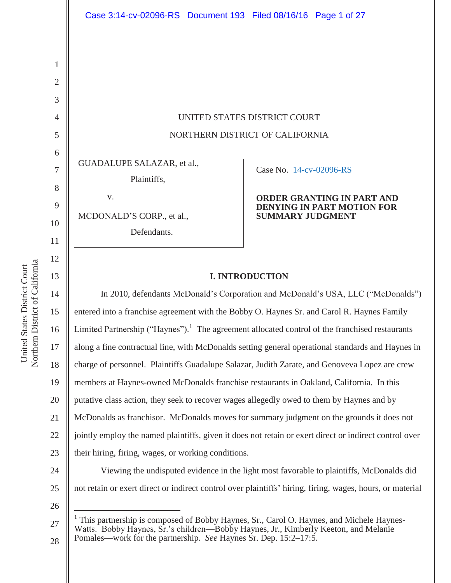UNITED STATES DISTRICT COURT NORTHERN DISTRICT OF CALIFORNIA

GUADALUPE SALAZAR, et al.,

Plaintiffs,

MCDONALD'S CORP., et al.,

v.

Defendants.

# Case No. 14-cv-02096-RS

#### **ORDER GRANTING IN PART AND DENYING IN PART MOTION FOR SUMMARY JUDGMENT**

# **I. INTRODUCTION**

14 15 16 20 22 23 24 In 2010, defendants McDonald's Corporation and McDonald's USA, LLC ("McDonalds") entered into a franchise agreement with the Bobby O. Haynes Sr. and Carol R. Haynes Family Limited Partnership ("Haynes").<sup>1</sup> The agreement allocated control of the franchised restaurants along a fine contractual line, with McDonalds setting general operational standards and Haynes in charge of personnel. Plaintiffs Guadalupe Salazar, Judith Zarate, and Genoveva Lopez are crew members at Haynes-owned McDonalds franchise restaurants in Oakland, California. In this putative class action, they seek to recover wages allegedly owed to them by Haynes and by McDonalds as franchisor. McDonalds moves for summary judgment on the grounds it does not jointly employ the named plaintiffs, given it does not retain or exert direct or indirect control over their hiring, firing, wages, or working conditions. Viewing the undisputed evidence in the light most favorable to plaintiffs, McDonalds did

25 not retain or exert direct or indirect control over plaintiffs' hiring, firing, wages, hours, or material

26

 $\overline{a}$ 

Northern District of California Northern District of California United States District Court United States District Court

1

2

3

4

5

6

7

8

9

10

11

12

13

17

18

19

<sup>27</sup>  28 1 This partnership is composed of Bobby Haynes, Sr., Carol O. Haynes, and Michele Haynes-Watts. Bobby Haynes, Sr.'s children—Bobby Haynes, Jr., Kimberly Keeton, and Melanie Pomales—work for the partnership. *See* Haynes Sr. Dep. 15:2–17:5.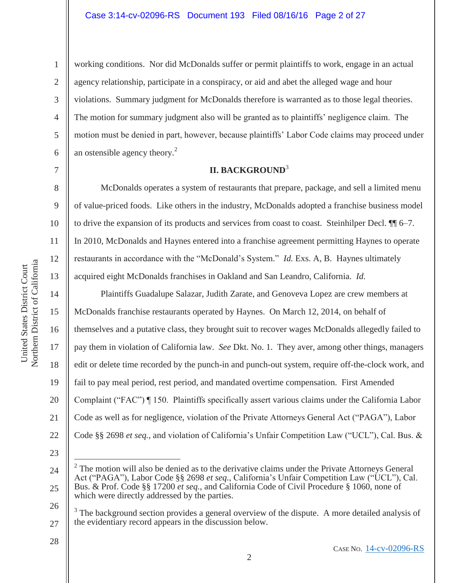2

3

4

5

6

7

8

9

15

United States District Court Northern District of California

Northern District of California United States District Court

16

17

18

19

20

21

22

working conditions. Nor did McDonalds suffer or permit plaintiffs to work, engage in an actual agency relationship, participate in a conspiracy, or aid and abet the alleged wage and hour violations. Summary judgment for McDonalds therefore is warranted as to those legal theories. The motion for summary judgment also will be granted as to plaintiffs' negligence claim. The motion must be denied in part, however, because plaintiffs' Labor Code claims may proceed under an ostensible agency theory. $2$ 

# **II. BACKGROUND**<sup>3</sup>

 McDonalds operates a system of restaurants that prepare, package, and sell a limited menu of value-priced foods. Like others in the industry, McDonalds adopted a franchise business model to drive the expansion of its products and services from coast to coast. Steinhilper Decl. ¶¶ 6–7. In 2010, McDonalds and Haynes entered into a franchise agreement permitting Haynes to operate restaurants in accordance with the "McDonald's System." *Id.* Exs. A, B. Haynes ultimately acquired eight McDonalds franchises in Oakland and San Leandro, California. *Id.*

 Plaintiffs Guadalupe Salazar, Judith Zarate, and Genoveva Lopez are crew members at McDonalds franchise restaurants operated by Haynes. On March 12, 2014, on behalf of themselves and a putative class, they brought suit to recover wages McDonalds allegedly failed to pay them in violation of California law. *See* Dkt. No. 1. They aver, among other things, managers edit or delete time recorded by the punch-in and punch-out system, require off-the-clock work, and fail to pay meal period, rest period, and mandated overtime compensation. First Amended Complaint ("FAC") ¶ 150. Plaintiffs specifically assert various claims under the California Labor Code as well as for negligence, violation of the Private Attorneys General Act ("PAGA"), Labor Code §§ 2698 *et seq.*, and violation of California's Unfair Competition Law ("UCL"), Cal. Bus. &

23

 $\overline{a}$ 

26

<sup>24</sup>  25 2 The motion will also be denied as to the derivative claims under the Private Attorneys General Act ("PAGA"), Labor Code §§ 2698 et seq., California's Unfair Competition Law ("UCL"), Cal. Bus. & Prof. Code §§ 17200 *et seq.*, and California Code of Civil Procedure § 1060, none of which were directly addressed by the parties.

<sup>27</sup>  3 The background section provides a general overview of the dispute. A more detailed analysis of the evidentiary record appears in the discussion below.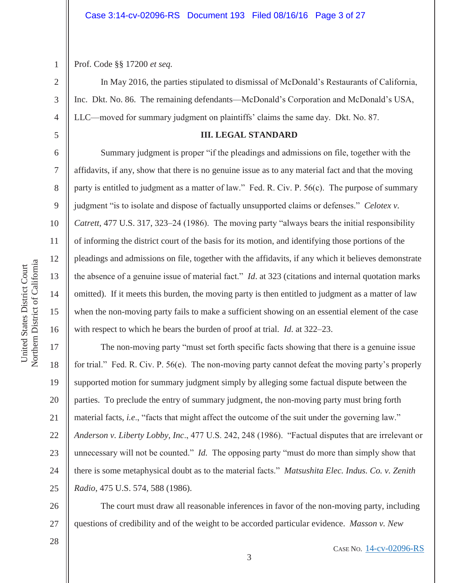Prof. Code §§ 17200 *et seq.*

1

2

3

4

5

6

7

8

9

10

11

12

13

14

15

16

17

18

19

 In May 2016, the parties stipulated to dismissal of McDonald's Restaurants of California, Inc. Dkt. No. 86. The remaining defendants—McDonald's Corporation and McDonald's USA, LLC—moved for summary judgment on plaintiffs' claims the same day. Dkt. No. 87.

#### **III. LEGAL STANDARD**

Summary judgment is proper "if the pleadings and admissions on file, together with the affidavits, if any, show that there is no genuine issue as to any material fact and that the moving party is entitled to judgment as a matter of law." Fed. R. Civ. P. 56(c). The purpose of summary judgment "is to isolate and dispose of factually unsupported claims or defenses." *Celotex v. Catrett*, 477 U.S. 317, 323–24 (1986). The moving party "always bears the initial responsibility of informing the district court of the basis for its motion, and identifying those portions of the pleadings and admissions on file, together with the affidavits, if any which it believes demonstrate the absence of a genuine issue of material fact." *Id*. at 323 (citations and internal quotation marks omitted). If it meets this burden, the moving party is then entitled to judgment as a matter of law when the non-moving party fails to make a sufficient showing on an essential element of the case with respect to which he bears the burden of proof at trial. *Id*. at 322–23.

20 21 22 23 24 The non-moving party "must set forth specific facts showing that there is a genuine issue for trial." Fed. R. Civ. P. 56(e). The non-moving party cannot defeat the moving party's properly supported motion for summary judgment simply by alleging some factual dispute between the parties. To preclude the entry of summary judgment, the non-moving party must bring forth material facts, *i.e*., "facts that might affect the outcome of the suit under the governing law." *Anderson v. Liberty Lobby, Inc*., 477 U.S. 242, 248 (1986). "Factual disputes that are irrelevant or unnecessary will not be counted." *Id.* The opposing party "must do more than simply show that there is some metaphysical doubt as to the material facts." *Matsushita Elec. Indus. Co. v. Zenith Radio*, 475 U.S. 574, 588 (1986).

26 27 The court must draw all reasonable inferences in favor of the non-moving party, including questions of credibility and of the weight to be accorded particular evidence. *Masson v. New* 

25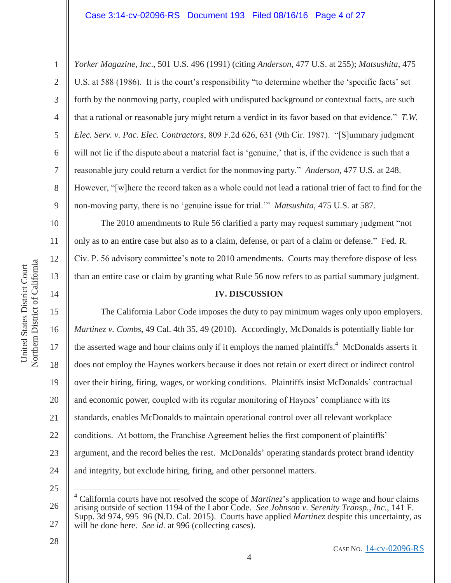2

3

4

5

6

7

8

9

10

11

12

13

14

*Yorker Magazine, Inc*., 501 U.S. 496 (1991) (citing *Anderson*, 477 U.S. at 255); *Matsushita*, 475 U.S. at 588 (1986). It is the court's responsibility "to determine whether the 'specific facts' set forth by the nonmoving party, coupled with undisputed background or contextual facts, are such that a rational or reasonable jury might return a verdict in its favor based on that evidence." *T.W. Elec. Serv. v. Pac. Elec. Contractors*, 809 F.2d 626, 631 (9th Cir. 1987). "[S]ummary judgment will not lie if the dispute about a material fact is 'genuine,' that is, if the evidence is such that a reasonable jury could return a verdict for the nonmoving party." *Anderson*, 477 U.S. at 248. However, "[w]here the record taken as a whole could not lead a rational trier of fact to find for the non-moving party, there is no 'genuine issue for trial.'" *Matsushita*, 475 U.S. at 587.

The 2010 amendments to Rule 56 clarified a party may request summary judgment "not only as to an entire case but also as to a claim, defense, or part of a claim or defense." Fed. R. Civ. P. 56 advisory committee's note to 2010 amendments. Courts may therefore dispose of less than an entire case or claim by granting what Rule 56 now refers to as partial summary judgment.

#### **IV. DISCUSSION**

15 16 17 18 19 20 21 22 23 24 The California Labor Code imposes the duty to pay minimum wages only upon employers. *Martinez v. Combs*, 49 Cal. 4th 35, 49 (2010). Accordingly, McDonalds is potentially liable for the asserted wage and hour claims only if it employs the named plaintiffs.<sup>4</sup> McDonalds asserts it does not employ the Haynes workers because it does not retain or exert direct or indirect control over their hiring, firing, wages, or working conditions. Plaintiffs insist McDonalds' contractual and economic power, coupled with its regular monitoring of Haynes' compliance with its standards, enables McDonalds to maintain operational control over all relevant workplace conditions. At bottom, the Franchise Agreement belies the first component of plaintiffs' argument, and the record belies the rest. McDonalds' operating standards protect brand identity and integrity, but exclude hiring, firing, and other personnel matters.

25

 $\overline{a}$ 

<sup>26</sup>  27 4 California courts have not resolved the scope of *Martinez*'s application to wage and hour claims arising outside of section 1194 of the Labor Code. *See Johnson v. Serenity Transp., Inc.*, 141 F. Supp. 3d 974, 995–96 (N.D. Cal. 2015). Courts have applied *Martinez* despite this uncertainty, as will be done here. *See id.* at 996 (collecting cases).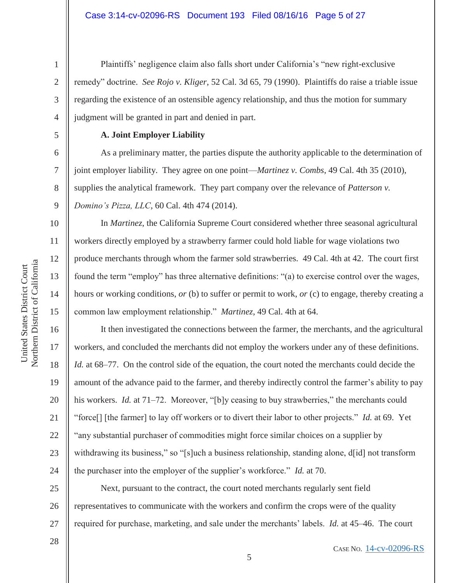#### Case 3:14-cv-02096-RS Document 193 Filed 08/16/16 Page 5 of 27

Plaintiffs' negligence claim also falls short under California's "new right-exclusive remedy" doctrine. *See Rojo v. Kliger*, 52 Cal. 3d 65, 79 (1990). Plaintiffs do raise a triable issue regarding the existence of an ostensible agency relationship, and thus the motion for summary judgment will be granted in part and denied in part.

5 6

7

8

9

10

11

12

13

14

15

United States District Court Northern District of California

Northern District of California United States District Court

16

17

18

19

20

21

22

23

24

1

2

3

4

# **A. Joint Employer Liability**

As a preliminary matter, the parties dispute the authority applicable to the determination of joint employer liability. They agree on one point—*Martinez v. Combs*, 49 Cal. 4th 35 (2010), supplies the analytical framework. They part company over the relevance of *Patterson v. Domino's Pizza, LLC*, 60 Cal. 4th 474 (2014).

 In *Martinez*, the California Supreme Court considered whether three seasonal agricultural workers directly employed by a strawberry farmer could hold liable for wage violations two produce merchants through whom the farmer sold strawberries. 49 Cal. 4th at 42. The court first found the term "employ" has three alternative definitions: "(a) to exercise control over the wages, hours or working conditions, *or* (b) to suffer or permit to work, *or* (c) to engage, thereby creating a common law employment relationship." *Martinez*, 49 Cal. 4th at 64.

 It then investigated the connections between the farmer, the merchants, and the agricultural workers, and concluded the merchants did not employ the workers under any of these definitions. *Id.* at 68–77. On the control side of the equation, the court noted the merchants could decide the amount of the advance paid to the farmer, and thereby indirectly control the farmer's ability to pay his workers. *Id.* at 71–72. Moreover, "[b]y ceasing to buy strawberries," the merchants could "force[] [the farmer] to lay off workers or to divert their labor to other projects." *Id.* at 69. Yet "any substantial purchaser of commodities might force similar choices on a supplier by withdrawing its business," so "[s]uch a business relationship, standing alone, d[id] not transform the purchaser into the employer of the supplier's workforce." *Id.* at 70.

25 27 Next, pursuant to the contract, the court noted merchants regularly sent field representatives to communicate with the workers and confirm the crops were of the quality required for purchase, marketing, and sale under the merchants' labels. *Id.* at 45–46. The court

5

26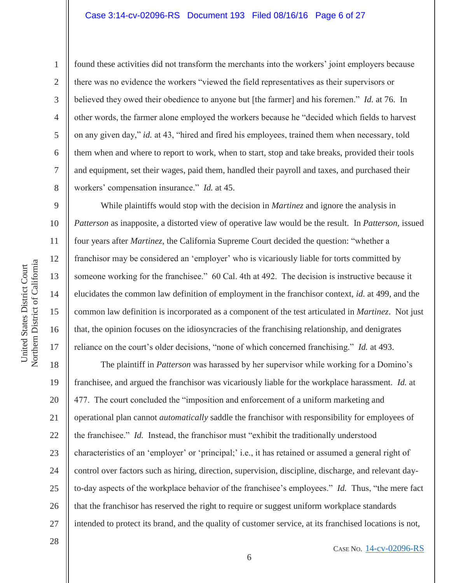#### Case 3:14-cv-02096-RS Document 193 Filed 08/16/16 Page 6 of 27

6 7 9

1

2

3

4

5

8

10

11

12

13

14

15

16

17

28

found these activities did not transform the merchants into the workers' joint employers because there was no evidence the workers "viewed the field representatives as their supervisors or believed they owed their obedience to anyone but [the farmer] and his foremen." *Id.* at 76. In other words, the farmer alone employed the workers because he "decided which fields to harvest on any given day," *id.* at 43, "hired and fired his employees, trained them when necessary, told them when and where to report to work, when to start, stop and take breaks, provided their tools and equipment, set their wages, paid them, handled their payroll and taxes, and purchased their workers' compensation insurance." *Id.* at 45.

 While plaintiffs would stop with the decision in *Martinez* and ignore the analysis in *Patterson* as inapposite, a distorted view of operative law would be the result. In *Patterson*, issued four years after *Martinez*, the California Supreme Court decided the question: "whether a franchisor may be considered an 'employer' who is vicariously liable for torts committed by someone working for the franchisee." 60 Cal. 4th at 492. The decision is instructive because it elucidates the common law definition of employment in the franchisor context, *id.* at 499, and the common law definition is incorporated as a component of the test articulated in *Martinez*. Not just that, the opinion focuses on the idiosyncracies of the franchising relationship, and denigrates reliance on the court's older decisions, "none of which concerned franchising." *Id.* at 493.

18 19 20 21 22 23 24 25 26 27 The plaintiff in *Patterson* was harassed by her supervisor while working for a Domino's franchisee, and argued the franchisor was vicariously liable for the workplace harassment. *Id.* at 477. The court concluded the "imposition and enforcement of a uniform marketing and operational plan cannot *automatically* saddle the franchisor with responsibility for employees of the franchisee." *Id.* Instead, the franchisor must "exhibit the traditionally understood characteristics of an 'employer' or 'principal;' i.e., it has retained or assumed a general right of control over factors such as hiring, direction, supervision, discipline, discharge, and relevant dayto-day aspects of the workplace behavior of the franchisee's employees." *Id.* Thus, "the mere fact that the franchisor has reserved the right to require or suggest uniform workplace standards intended to protect its brand, and the quality of customer service, at its franchised locations is not,

Northern District of California Northern District of California United States District Court United States District Court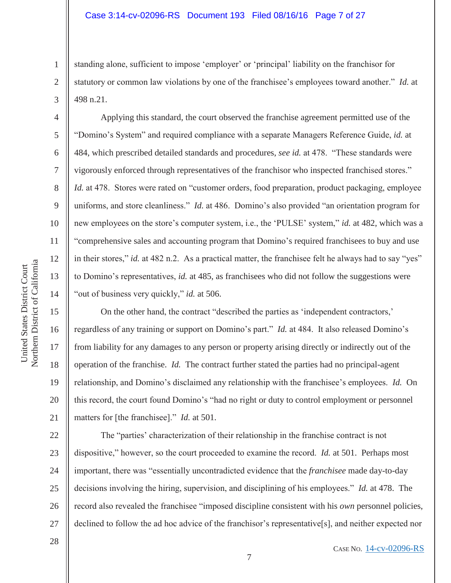standing alone, sufficient to impose 'employer' or 'principal' liability on the franchisor for statutory or common law violations by one of the franchisee's employees toward another." *Id.* at 498 n.21.

 Applying this standard, the court observed the franchise agreement permitted use of the "Domino's System" and required compliance with a separate Managers Reference Guide, *id.* at 484, which prescribed detailed standards and procedures, *see id.* at 478. "These standards were vigorously enforced through representatives of the franchisor who inspected franchised stores." *Id.* at 478. Stores were rated on "customer orders, food preparation, product packaging, employee uniforms, and store cleanliness." *Id.* at 486. Domino's also provided "an orientation program for new employees on the store's computer system, i.e., the 'PULSE' system," *id.* at 482, which was a "comprehensive sales and accounting program that Domino's required franchisees to buy and use in their stores," *id.* at 482 n.2. As a practical matter, the franchisee felt he always had to say "yes" to Domino's representatives, *id.* at 485, as franchisees who did not follow the suggestions were "out of business very quickly," *id.* at 506.

 On the other hand, the contract "described the parties as 'independent contractors,' regardless of any training or support on Domino's part." *Id.* at 484. It also released Domino's from liability for any damages to any person or property arising directly or indirectly out of the operation of the franchise. *Id.* The contract further stated the parties had no principal-agent relationship, and Domino's disclaimed any relationship with the franchisee's employees. *Id.* On this record, the court found Domino's "had no right or duty to control employment or personnel matters for [the franchisee]." *Id.* at 501.

22 23 24 25 26 27 The "parties' characterization of their relationship in the franchise contract is not dispositive," however, so the court proceeded to examine the record. *Id.* at 501. Perhaps most important, there was "essentially uncontradicted evidence that the *franchisee* made day-to-day decisions involving the hiring, supervision, and disciplining of his employees." *Id.* at 478. The record also revealed the franchisee "imposed discipline consistent with his *own* personnel policies, declined to follow the ad hoc advice of the franchisor's representative[s], and neither expected nor

28

1

2

3

4

5

6

7

8

9

10

11

12

13

14

15

16

17

18

19

20

21

CASE NO. 14-cv-02096-RS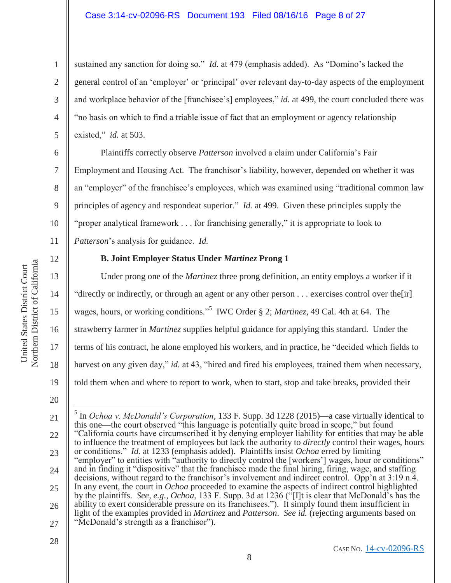# Case 3:14-cv-02096-RS Document 193 Filed 08/16/16 Page 8 of 27

sustained any sanction for doing so." *Id.* at 479 (emphasis added). As "Domino's lacked the general control of an 'employer' or 'principal' over relevant day-to-day aspects of the employment and workplace behavior of the [franchisee's] employees," *id.* at 499, the court concluded there was "no basis on which to find a triable issue of fact that an employment or agency relationship existed," *id.* at 503.

 Plaintiffs correctly observe *Patterson* involved a claim under California's Fair Employment and Housing Act. The franchisor's liability, however, depended on whether it was an "employer" of the franchisee's employees, which was examined using "traditional common law principles of agency and respondeat superior." *Id.* at 499. Given these principles supply the "proper analytical framework . . . for franchising generally," it is appropriate to look to *Patterson*'s analysis for guidance. *Id.*

12

13

14

15

United States District Court Northern District of California

Northern District of California United States District Court

16

17

18

19

1

2

3

4

5

6

7

8

9

10

11

# **B. Joint Employer Status Under** *Martinez* **Prong 1**

 Under prong one of the *Martinez* three prong definition, an entity employs a worker if it "directly or indirectly, or through an agent or any other person . . . exercises control over the[ir] wages, hours, or working conditions."<sup>5</sup> IWC Order § 2; *Martinez*, 49 Cal. 4th at 64. The strawberry farmer in *Martinez* supplies helpful guidance for applying this standard. Under the terms of his contract, he alone employed his workers, and in practice, he "decided which fields to harvest on any given day," *id.* at 43, "hired and fired his employees, trained them when necessary, told them when and where to report to work, when to start, stop and take breaks, provided their

 $\overline{a}$ 

- 27 "McDonald's strength as a franchisor").
- 28

<sup>20</sup> 

<sup>21</sup>  22 23 24 25 26 5 In *Ochoa v. McDonald's Corporation*, 133 F. Supp. 3d 1228 (2015)—a case virtually identical to this one—the court observed "this language is potentially quite broad in scope," but found "California courts have circumscribed it by denying employer liability for entities that may be able to influence the treatment of employees but lack the authority to *directly* control their wages, hours or conditions." *Id.* at 1233 (emphasis added). Plaintiffs insist *Ochoa* erred by limiting "employer" to entities with "authority to directly control the [workers'] wages, hour or conditions" and in finding it "dispositive" that the franchisee made the final hiring, firing, wage, and staffing decisions, without regard to the franchisor's involvement and indirect control. Opp'n at 3:19 n.4. In any event, the court in *Ochoa* proceeded to examine the aspects of indirect control highlighted by the plaintiffs. *See, e.g.*, *Ochoa*, 133 F. Supp. 3d at 1236 ("[I]t is clear that McDonald's has the ability to exert considerable pressure on its franchisees."). It simply found them insufficient in light of the examples provided in *Martinez* and *Patterson*. *See id.* (rejecting arguments based on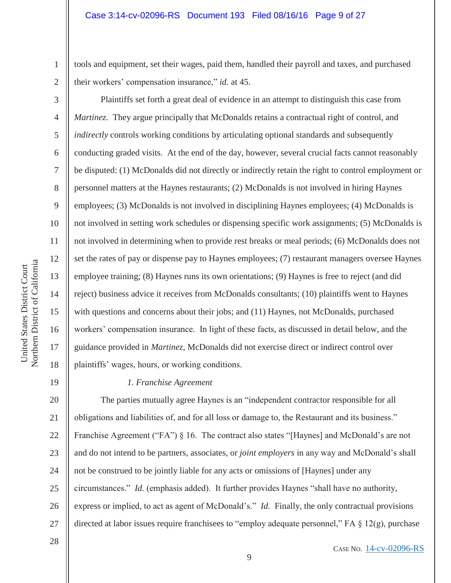tools and equipment, set their wages, paid them, handled their payroll and taxes, and purchased their workers' compensation insurance," *id.* at 45.

 Plaintiffs set forth a great deal of evidence in an attempt to distinguish this case from *Martinez*. They argue principally that McDonalds retains a contractual right of control, and *indirectly* controls working conditions by articulating optional standards and subsequently conducting graded visits. At the end of the day, however, several crucial facts cannot reasonably be disputed: (1) McDonalds did not directly or indirectly retain the right to control employment or personnel matters at the Haynes restaurants; (2) McDonalds is not involved in hiring Haynes employees; (3) McDonalds is not involved in disciplining Haynes employees; (4) McDonalds is not involved in setting work schedules or dispensing specific work assignments; (5) McDonalds is not involved in determining when to provide rest breaks or meal periods; (6) McDonalds does not set the rates of pay or dispense pay to Haynes employees; (7) restaurant managers oversee Haynes employee training; (8) Haynes runs its own orientations; (9) Haynes is free to reject (and did reject) business advice it receives from McDonalds consultants; (10) plaintiffs went to Haynes with questions and concerns about their jobs; and (11) Haynes, not McDonalds, purchased workers' compensation insurance. In light of these facts, as discussed in detail below, and the guidance provided in *Martinez*, McDonalds did not exercise direct or indirect control over plaintiffs' wages, hours, or working conditions.

#### *1. Franchise Agreement*

20 21 22 23 27 The parties mutually agree Haynes is an "independent contractor responsible for all obligations and liabilities of, and for all loss or damage to, the Restaurant and its business." Franchise Agreement ("FA") § 16. The contract also states "[Haynes] and McDonald's are not and do not intend to be partners, associates, or *joint employers* in any way and McDonald's shall not be construed to be jointly liable for any acts or omissions of [Haynes] under any circumstances." *Id.* (emphasis added). It further provides Haynes "shall have no authority, express or implied, to act as agent of McDonald's." *Id.* Finally, the only contractual provisions directed at labor issues require franchisees to "employ adequate personnel," FA § 12(g), purchase

28

Northern District of California Northern District of California United States District Court United States District Court

1

2

3

4

5

6

7

8

9

10

11

12

13

14

15

16

17

18

19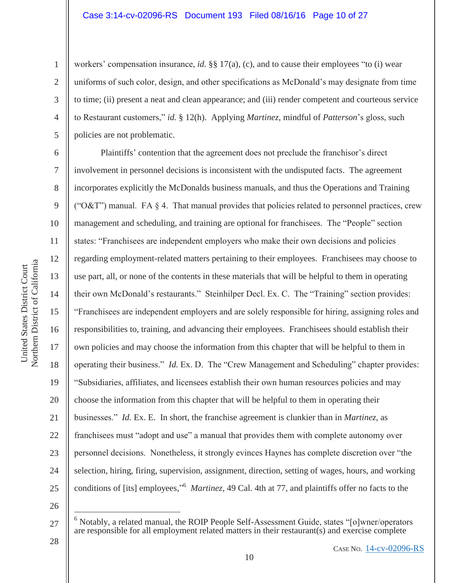workers' compensation insurance, *id.* §§ 17(a), (c), and to cause their employees "to (i) wear uniforms of such color, design, and other specifications as McDonald's may designate from time to time; (ii) present a neat and clean appearance; and (iii) render competent and courteous service to Restaurant customers," *id.* § 12(h). Applying *Martinez*, mindful of *Patterson*'s gloss, such policies are not problematic.

 Plaintiffs' contention that the agreement does not preclude the franchisor's direct involvement in personnel decisions is inconsistent with the undisputed facts. The agreement incorporates explicitly the McDonalds business manuals, and thus the Operations and Training ("O&T") manual. FA  $\S$  4. That manual provides that policies related to personnel practices, crew management and scheduling, and training are optional for franchisees. The "People" section states: "Franchisees are independent employers who make their own decisions and policies regarding employment-related matters pertaining to their employees. Franchisees may choose to use part, all, or none of the contents in these materials that will be helpful to them in operating their own McDonald's restaurants." Steinhilper Decl. Ex. C. The "Training" section provides: "Franchisees are independent employers and are solely responsible for hiring, assigning roles and responsibilities to, training, and advancing their employees. Franchisees should establish their own policies and may choose the information from this chapter that will be helpful to them in operating their business." *Id.* Ex. D. The "Crew Management and Scheduling" chapter provides: "Subsidiaries, affiliates, and licensees establish their own human resources policies and may choose the information from this chapter that will be helpful to them in operating their businesses." *Id.* Ex. E. In short, the franchise agreement is clunkier than in *Martinez*, as franchisees must "adopt and use" a manual that provides them with complete autonomy over personnel decisions. Nonetheless, it strongly evinces Haynes has complete discretion over "the selection, hiring, firing, supervision, assignment, direction, setting of wages, hours, and working conditions of [its] employees,"<sup>6</sup> *Martinez*, 49 Cal. 4th at 77, and plaintiffs offer no facts to the

26

 $\overline{a}$ 

25

28

1

2

3

4

5

6

7

8

9

10

11

12

13

14

15

16

17

18

19

20

21

22

23

<sup>27</sup>  6 Notably, a related manual, the ROIP People Self-Assessment Guide, states "[o]wner/operators are responsible for all employment related matters in their restaurant(s) and exercise complete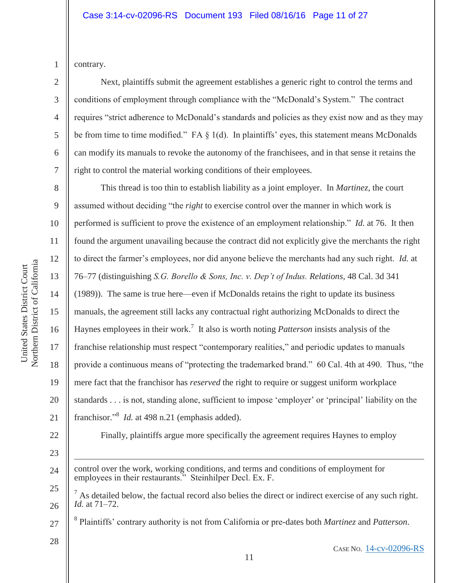3

4

5

6

7

contrary.

Next, plaintiffs submit the agreement establishes a generic right to control the terms and conditions of employment through compliance with the "McDonald's System." The contract requires "strict adherence to McDonald's standards and policies as they exist now and as they may be from time to time modified." FA § 1(d). In plaintiffs' eyes, this statement means McDonalds can modify its manuals to revoke the autonomy of the franchisees, and in that sense it retains the right to control the material working conditions of their employees.

8 9 10 11 12 13 14 15 16 17 18 19 20 21 This thread is too thin to establish liability as a joint employer. In *Martinez*, the court assumed without deciding "the *right* to exercise control over the manner in which work is performed is sufficient to prove the existence of an employment relationship." *Id.* at 76. It then found the argument unavailing because the contract did not explicitly give the merchants the right to direct the farmer's employees, nor did anyone believe the merchants had any such right. *Id.* at 76–77 (distinguishing *S.G. Borello & Sons, Inc. v. Dep't of Indus. Relations*, 48 Cal. 3d 341 (1989)). The same is true here—even if McDonalds retains the right to update its business manuals, the agreement still lacks any contractual right authorizing McDonalds to direct the Haynes employees in their work.<sup>7</sup> It also is worth noting *Patterson* insists analysis of the franchise relationship must respect "contemporary realities," and periodic updates to manuals provide a continuous means of "protecting the trademarked brand." 60 Cal. 4th at 490. Thus, "the mere fact that the franchisor has *reserved* the right to require or suggest uniform workplace standards . . . is not, standing alone, sufficient to impose 'employer' or 'principal' liability on the franchisor."<sup>8</sup> *Id.* at 498 n.21 (emphasis added).

22

United States District Court Northern District of California

Northern District of California United States District Court

23

-

- 24 control over the work, working conditions, and terms and conditions of employment for employees in their restaurants." Steinhilper Decl. Ex. F.
- 25 26  $<sup>7</sup>$  As detailed below, the factual record also belies the direct or indirect exercise of any such right.</sup> *Id.* at 71–72.

Finally, plaintiffs argue more specifically the agreement requires Haynes to employ

- 27 <sup>8</sup> Plaintiffs' contrary authority is not from California or pre-dates both *Martinez* and *Patterson*.
- 28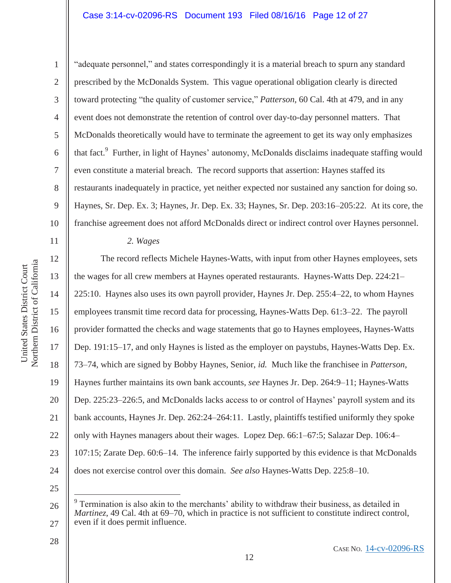### Case 3:14-cv-02096-RS Document 193 Filed 08/16/16 Page 12 of 27

1

2

3

4

5

7

8

9

11

12

13

14

15

17

18

19

21

6 10 "adequate personnel," and states correspondingly it is a material breach to spurn any standard prescribed by the McDonalds System. This vague operational obligation clearly is directed toward protecting "the quality of customer service," *Patterson*, 60 Cal. 4th at 479, and in any event does not demonstrate the retention of control over day-to-day personnel matters. That McDonalds theoretically would have to terminate the agreement to get its way only emphasizes that fact.<sup>9</sup> Further, in light of Haynes' autonomy, McDonalds disclaims inadequate staffing would even constitute a material breach. The record supports that assertion: Haynes staffed its restaurants inadequately in practice, yet neither expected nor sustained any sanction for doing so. Haynes, Sr. Dep. Ex. 3; Haynes, Jr. Dep. Ex. 33; Haynes, Sr. Dep. 203:16–205:22. At its core, the franchise agreement does not afford McDonalds direct or indirect control over Haynes personnel.

*2. Wages*

16 20 22 23 24 The record reflects Michele Haynes-Watts, with input from other Haynes employees, sets the wages for all crew members at Haynes operated restaurants. Haynes-Watts Dep. 224:21– 225:10. Haynes also uses its own payroll provider, Haynes Jr. Dep. 255:4–22, to whom Haynes employees transmit time record data for processing, Haynes-Watts Dep. 61:3–22. The payroll provider formatted the checks and wage statements that go to Haynes employees, Haynes-Watts Dep. 191:15–17, and only Haynes is listed as the employer on paystubs, Haynes-Watts Dep. Ex. 73–74, which are signed by Bobby Haynes, Senior, *id.* Much like the franchisee in *Patterson*, Haynes further maintains its own bank accounts, *see* Haynes Jr. Dep. 264:9–11; Haynes-Watts Dep. 225:23–226:5, and McDonalds lacks access to or control of Haynes' payroll system and its bank accounts, Haynes Jr. Dep. 262:24–264:11. Lastly, plaintiffs testified uniformly they spoke only with Haynes managers about their wages. Lopez Dep. 66:1–67:5; Salazar Dep. 106:4– 107:15; Zarate Dep. 60:6–14. The inference fairly supported by this evidence is that McDonalds does not exercise control over this domain. *See also* Haynes-Watts Dep. 225:8–10.

25

 $\overline{a}$ 

26

27

<sup>9</sup> Termination is also akin to the merchants' ability to withdraw their business, as detailed in *Martinez*, 49 Cal. 4th at 69–70, which in practice is not sufficient to constitute indirect control, even if it does permit influence.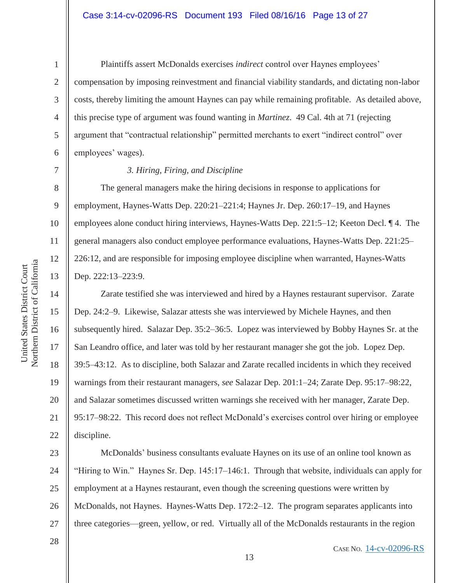14

15

United States District Court Northern District of California

Northern District of California United States District Court

16

17

18

19

20

21

22

1

 Plaintiffs assert McDonalds exercises *indirect* control over Haynes employees' compensation by imposing reinvestment and financial viability standards, and dictating non-labor costs, thereby limiting the amount Haynes can pay while remaining profitable. As detailed above, this precise type of argument was found wanting in *Martinez*. 49 Cal. 4th at 71 (rejecting argument that "contractual relationship" permitted merchants to exert "indirect control" over employees' wages).

#### *3. Hiring, Firing, and Discipline*

 The general managers make the hiring decisions in response to applications for employment, Haynes-Watts Dep. 220:21–221:4; Haynes Jr. Dep. 260:17–19, and Haynes employees alone conduct hiring interviews, Haynes-Watts Dep. 221:5–12; Keeton Decl. ¶ 4. The general managers also conduct employee performance evaluations, Haynes-Watts Dep. 221:25– 226:12, and are responsible for imposing employee discipline when warranted, Haynes-Watts Dep. 222:13–223:9.

Zarate testified she was interviewed and hired by a Haynes restaurant supervisor. Zarate Dep. 24:2–9. Likewise, Salazar attests she was interviewed by Michele Haynes, and then subsequently hired. Salazar Dep. 35:2–36:5. Lopez was interviewed by Bobby Haynes Sr. at the San Leandro office, and later was told by her restaurant manager she got the job. Lopez Dep. 39:5–43:12. As to discipline, both Salazar and Zarate recalled incidents in which they received warnings from their restaurant managers, *see* Salazar Dep. 201:1–24; Zarate Dep. 95:17–98:22, and Salazar sometimes discussed written warnings she received with her manager, Zarate Dep. 95:17–98:22. This record does not reflect McDonald's exercises control over hiring or employee discipline.

23 24 25 26 27 McDonalds' business consultants evaluate Haynes on its use of an online tool known as "Hiring to Win." Haynes Sr. Dep. 145:17–146:1. Through that website, individuals can apply for employment at a Haynes restaurant, even though the screening questions were written by McDonalds, not Haynes. Haynes-Watts Dep. 172:2–12. The program separates applicants into three categories—green, yellow, or red. Virtually all of the McDonalds restaurants in the region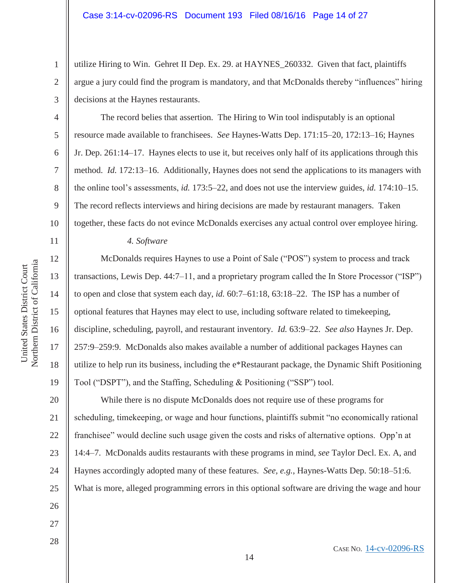utilize Hiring to Win. Gehret II Dep. Ex. 29. at HAYNES\_260332. Given that fact, plaintiffs argue a jury could find the program is mandatory, and that McDonalds thereby "influences" hiring decisions at the Haynes restaurants.

The record belies that assertion. The Hiring to Win tool indisputably is an optional resource made available to franchisees. *See* Haynes-Watts Dep. 171:15–20, 172:13–16; Haynes Jr. Dep. 261:14–17. Haynes elects to use it, but receives only half of its applications through this method. *Id.* 172:13–16. Additionally, Haynes does not send the applications to its managers with the online tool's assessments, *id.* 173:5–22, and does not use the interview guides, *id.* 174:10–15. The record reflects interviews and hiring decisions are made by restaurant managers. Taken together, these facts do not evince McDonalds exercises any actual control over employee hiring.

*4. Software* 

 McDonalds requires Haynes to use a Point of Sale ("POS") system to process and track transactions, Lewis Dep. 44:7–11, and a proprietary program called the In Store Processor ("ISP") to open and close that system each day, *id.* 60:7–61:18, 63:18–22. The ISP has a number of optional features that Haynes may elect to use, including software related to timekeeping, discipline, scheduling, payroll, and restaurant inventory. *Id.* 63:9–22. *See also* Haynes Jr. Dep. 257:9–259:9. McDonalds also makes available a number of additional packages Haynes can utilize to help run its business, including the e\*Restaurant package, the Dynamic Shift Positioning Tool ("DSPT"), and the Staffing, Scheduling & Positioning ("SSP") tool.

20 21 22 23 24 25 26 While there is no dispute McDonalds does not require use of these programs for scheduling, timekeeping, or wage and hour functions, plaintiffs submit "no economically rational franchisee" would decline such usage given the costs and risks of alternative options. Opp'n at 14:4–7. McDonalds audits restaurants with these programs in mind, *see* Taylor Decl. Ex. A, and Haynes accordingly adopted many of these features. *See, e.g.*, Haynes-Watts Dep. 50:18–51:6. What is more, alleged programming errors in this optional software are driving the wage and hour

14

- 27
- 28

1

2

3

4

5

6

7

8

9

10

11

12

13

14

15

16

17

18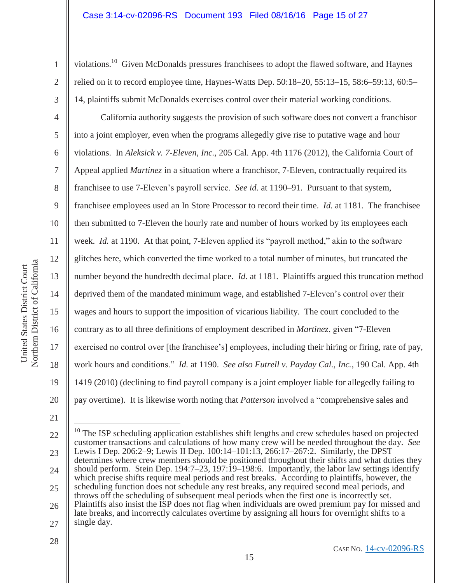violations.10 Given McDonalds pressures franchisees to adopt the flawed software, and Haynes relied on it to record employee time, Haynes-Watts Dep. 50:18–20, 55:13–15, 58:6–59:13, 60:5– 14, plaintiffs submit McDonalds exercises control over their material working conditions.

 California authority suggests the provision of such software does not convert a franchisor into a joint employer, even when the programs allegedly give rise to putative wage and hour violations. In *Aleksick v. 7-Eleven, Inc.*, 205 Cal. App. 4th 1176 (2012), the California Court of Appeal applied *Martinez* in a situation where a franchisor, 7-Eleven, contractually required its franchisee to use 7-Eleven's payroll service. *See id.* at 1190–91. Pursuant to that system, franchisee employees used an In Store Processor to record their time. *Id.* at 1181. The franchisee then submitted to 7-Eleven the hourly rate and number of hours worked by its employees each week. *Id.* at 1190. At that point, 7-Eleven applied its "payroll method," akin to the software glitches here, which converted the time worked to a total number of minutes, but truncated the number beyond the hundredth decimal place. *Id.* at 1181. Plaintiffs argued this truncation method deprived them of the mandated minimum wage, and established 7-Eleven's control over their wages and hours to support the imposition of vicarious liability. The court concluded to the contrary as to all three definitions of employment described in *Martinez*, given "7-Eleven exercised no control over [the franchisee's] employees, including their hiring or firing, rate of pay, work hours and conditions." *Id.* at 1190. *See also Futrell v. Payday Cal., Inc.*, 190 Cal. App. 4th 1419 (2010) (declining to find payroll company is a joint employer liable for allegedly failing to pay overtime). It is likewise worth noting that *Patterson* involved a "comprehensive sales and

Northern District of California Northern District of California United States District Court United States District Court

21

 $\overline{a}$ 

1

2

3

4

5

6

7

8

9

10

11

12

13

14

15

16

17

18

19

<sup>22</sup>  23 24 25 26 27  $10$  The ISP scheduling application establishes shift lengths and crew schedules based on projected customer transactions and calculations of how many crew will be needed throughout the day. *See* Lewis I Dep. 206:2–9; Lewis II Dep. 100:14–101:13, 266:17–267:2. Similarly, the DPST determines where crew members should be positioned throughout their shifts and what duties they should perform. Stein Dep. 194:7–23, 197:19–198:6. Importantly, the labor law settings identify which precise shifts require meal periods and rest breaks. According to plaintiffs, however, the scheduling function does not schedule any rest breaks, any required second meal periods, and throws off the scheduling of subsequent meal periods when the first one is incorrectly set. Plaintiffs also insist the ISP does not flag when individuals are owed premium pay for missed and late breaks, and incorrectly calculates overtime by assigning all hours for overnight shifts to a single day.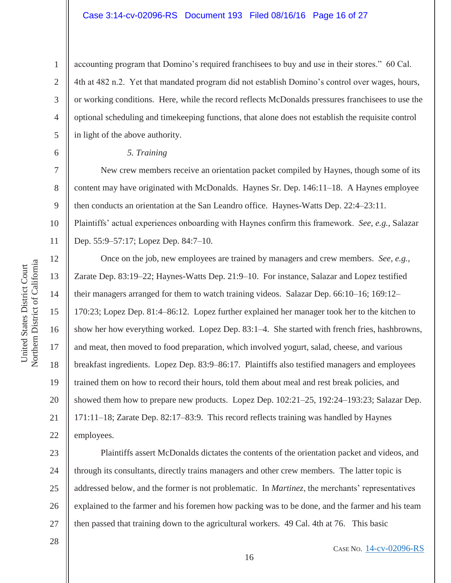accounting program that Domino's required franchisees to buy and use in their stores." 60 Cal. 4th at 482 n.2. Yet that mandated program did not establish Domino's control over wages, hours, or working conditions. Here, while the record reflects McDonalds pressures franchisees to use the optional scheduling and timekeeping functions, that alone does not establish the requisite control in light of the above authority.

#### *5. Training*

 New crew members receive an orientation packet compiled by Haynes, though some of its content may have originated with McDonalds. Haynes Sr. Dep. 146:11–18. A Haynes employee then conducts an orientation at the San Leandro office. Haynes-Watts Dep. 22:4–23:11. Plaintiffs' actual experiences onboarding with Haynes confirm this framework. *See, e.g.*, Salazar

Dep. 55:9–57:17; Lopez Dep. 84:7–10.

Once on the job, new employees are trained by managers and crew members. *See, e.g.*, Zarate Dep. 83:19–22; Haynes-Watts Dep. 21:9–10. For instance, Salazar and Lopez testified their managers arranged for them to watch training videos. Salazar Dep. 66:10–16; 169:12– 170:23; Lopez Dep. 81:4–86:12. Lopez further explained her manager took her to the kitchen to show her how everything worked. Lopez Dep. 83:1–4. She started with french fries, hashbrowns, and meat, then moved to food preparation, which involved yogurt, salad, cheese, and various breakfast ingredients. Lopez Dep. 83:9–86:17. Plaintiffs also testified managers and employees trained them on how to record their hours, told them about meal and rest break policies, and showed them how to prepare new products. Lopez Dep. 102:21–25, 192:24–193:23; Salazar Dep. 171:11–18; Zarate Dep. 82:17–83:9. This record reflects training was handled by Haynes employees.

23 24 25 26 Plaintiffs assert McDonalds dictates the contents of the orientation packet and videos, and through its consultants, directly trains managers and other crew members. The latter topic is addressed below, and the former is not problematic. In *Martinez*, the merchants' representatives explained to the farmer and his foremen how packing was to be done, and the farmer and his team then passed that training down to the agricultural workers. 49 Cal. 4th at 76. This basic

28

1

2

3

4

5

6

7

8

9

10

11

12

13

14

15

16

17

18

19

20

21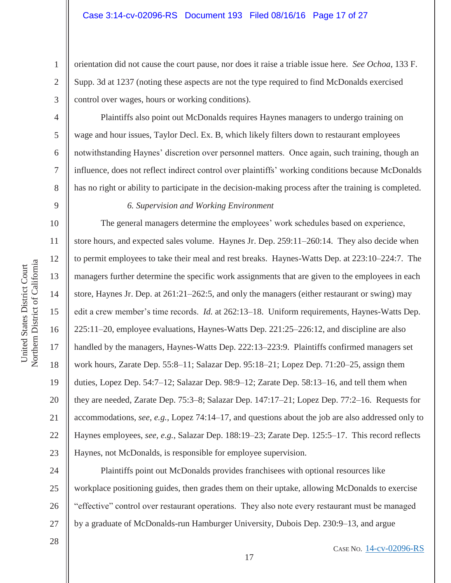orientation did not cause the court pause, nor does it raise a triable issue here. *See Ochoa*, 133 F. Supp. 3d at 1237 (noting these aspects are not the type required to find McDonalds exercised control over wages, hours or working conditions).

Plaintiffs also point out McDonalds requires Haynes managers to undergo training on wage and hour issues, Taylor Decl. Ex. B, which likely filters down to restaurant employees notwithstanding Haynes' discretion over personnel matters. Once again, such training, though an influence, does not reflect indirect control over plaintiffs' working conditions because McDonalds has no right or ability to participate in the decision-making process after the training is completed.

### *6. Supervision and Working Environment*

 The general managers determine the employees' work schedules based on experience, store hours, and expected sales volume. Haynes Jr. Dep. 259:11–260:14. They also decide when to permit employees to take their meal and rest breaks. Haynes-Watts Dep. at 223:10–224:7. The managers further determine the specific work assignments that are given to the employees in each store, Haynes Jr. Dep. at 261:21–262:5, and only the managers (either restaurant or swing) may edit a crew member's time records. *Id.* at 262:13–18. Uniform requirements, Haynes-Watts Dep. 225:11–20, employee evaluations, Haynes-Watts Dep. 221:25–226:12, and discipline are also handled by the managers, Haynes-Watts Dep. 222:13–223:9. Plaintiffs confirmed managers set work hours, Zarate Dep. 55:8–11; Salazar Dep. 95:18–21; Lopez Dep. 71:20–25, assign them duties, Lopez Dep. 54:7–12; Salazar Dep. 98:9–12; Zarate Dep. 58:13–16, and tell them when they are needed, Zarate Dep. 75:3–8; Salazar Dep. 147:17–21; Lopez Dep. 77:2–16. Requests for accommodations, *see, e.g.*, Lopez 74:14–17, and questions about the job are also addressed only to Haynes employees, *see, e.g.*, Salazar Dep. 188:19–23; Zarate Dep. 125:5–17. This record reflects Haynes, not McDonalds, is responsible for employee supervision.

24 25 26 27 Plaintiffs point out McDonalds provides franchisees with optional resources like workplace positioning guides, then grades them on their uptake, allowing McDonalds to exercise "effective" control over restaurant operations. They also note every restaurant must be managed by a graduate of McDonalds-run Hamburger University, Dubois Dep. 230:9–13, and argue

28

1

2

3

4

5

6

7

8

9

10

11

12

13

14

15

16

17

18

19

20

21

22

23

CASE NO. 14-cv-02096-RS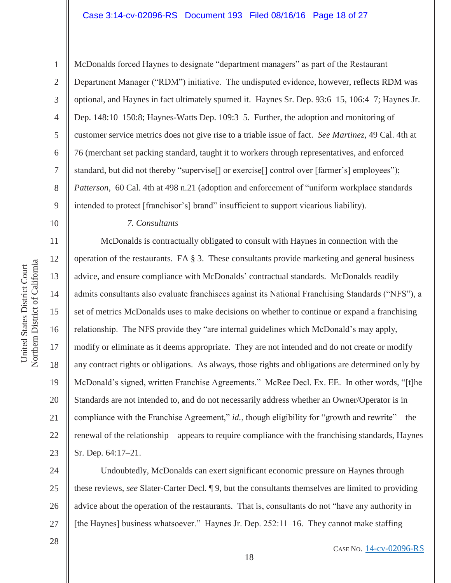#### Case 3:14-cv-02096-RS Document 193 Filed 08/16/16 Page 18 of 27

McDonalds forced Haynes to designate "department managers" as part of the Restaurant Department Manager ("RDM") initiative. The undisputed evidence, however, reflects RDM was optional, and Haynes in fact ultimately spurned it. Haynes Sr. Dep. 93:6–15, 106:4–7; Haynes Jr. Dep. 148:10–150:8; Haynes-Watts Dep. 109:3–5. Further, the adoption and monitoring of customer service metrics does not give rise to a triable issue of fact. *See Martinez*, 49 Cal. 4th at 76 (merchant set packing standard, taught it to workers through representatives, and enforced standard, but did not thereby "supervise[] or exercise[] control over [farmer's] employees"); *Patterson*, 60 Cal. 4th at 498 n.21 (adoption and enforcement of "uniform workplace standards intended to protect [franchisor's] brand" insufficient to support vicarious liability).

# *7. Consultants*

 McDonalds is contractually obligated to consult with Haynes in connection with the operation of the restaurants. FA § 3. These consultants provide marketing and general business advice, and ensure compliance with McDonalds' contractual standards. McDonalds readily admits consultants also evaluate franchisees against its National Franchising Standards ("NFS"), a set of metrics McDonalds uses to make decisions on whether to continue or expand a franchising relationship. The NFS provide they "are internal guidelines which McDonald's may apply, modify or eliminate as it deems appropriate. They are not intended and do not create or modify any contract rights or obligations. As always, those rights and obligations are determined only by McDonald's signed, written Franchise Agreements." McRee Decl. Ex. EE. In other words, "[t]he Standards are not intended to, and do not necessarily address whether an Owner/Operator is in compliance with the Franchise Agreement," *id.*, though eligibility for "growth and rewrite"—the renewal of the relationship—appears to require compliance with the franchising standards, Haynes Sr. Dep. 64:17–21.

24 25 26 27 Undoubtedly, McDonalds can exert significant economic pressure on Haynes through these reviews, *see* Slater-Carter Decl. ¶ 9, but the consultants themselves are limited to providing advice about the operation of the restaurants. That is, consultants do not "have any authority in [the Haynes] business whatsoever." Haynes Jr. Dep. 252:11-16. They cannot make staffing

28

CASE NO. 14-cv-02096-RS

Northern District of California Northern District of California United States District Court United States District Court

1

2

3

4

5

6

7

8

9

10

11

12

13

14

15

16

17

18

19

20

21

22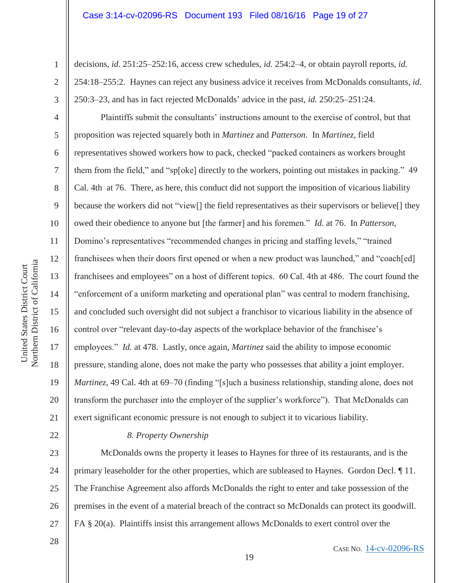decisions, *id.* 251:25–252:16, access crew schedules, *id.* 254:2–4, or obtain payroll reports, *id.* 254:18–255:2. Haynes can reject any business advice it receives from McDonalds consultants, *id.* 250:3–23, and has in fact rejected McDonalds' advice in the past, *id.* 250:25–251:24.

Plaintiffs submit the consultants' instructions amount to the exercise of control, but that proposition was rejected squarely both in *Martinez* and *Patterson*. In *Martinez*, field representatives showed workers how to pack, checked "packed containers as workers brought them from the field," and "sp[oke] directly to the workers, pointing out mistakes in packing." 49 Cal. 4th at 76. There, as here, this conduct did not support the imposition of vicarious liability because the workers did not "view[] the field representatives as their supervisors or believe[] they owed their obedience to anyone but [the farmer] and his foremen." *Id.* at 76. In *Patterson*, Domino's representatives "recommended changes in pricing and staffing levels," "trained franchisees when their doors first opened or when a new product was launched," and "coach[ed] franchisees and employees" on a host of different topics. 60 Cal. 4th at 486. The court found the "enforcement of a uniform marketing and operational plan" was central to modern franchising, and concluded such oversight did not subject a franchisor to vicarious liability in the absence of control over "relevant day-to-day aspects of the workplace behavior of the franchisee's employees." *Id.* at 478. Lastly, once again, *Martinez* said the ability to impose economic pressure, standing alone, does not make the party who possesses that ability a joint employer. *Martinez*, 49 Cal. 4th at 69–70 (finding "[s]uch a business relationship, standing alone, does not transform the purchaser into the employer of the supplier's workforce"). That McDonalds can exert significant economic pressure is not enough to subject it to vicarious liability.

### *8. Property Ownership*

23 24 25 26 27 McDonalds owns the property it leases to Haynes for three of its restaurants, and is the primary leaseholder for the other properties, which are subleased to Haynes. Gordon Decl. ¶ 11. The Franchise Agreement also affords McDonalds the right to enter and take possession of the premises in the event of a material breach of the contract so McDonalds can protect its goodwill. FA § 20(a). Plaintiffs insist this arrangement allows McDonalds to exert control over the

1

2

3

4

5

6

7

8

9

10

11

12

13

14

15

16

17

18

19

20

21

22

28

CASE NO. 14-cv-02096-RS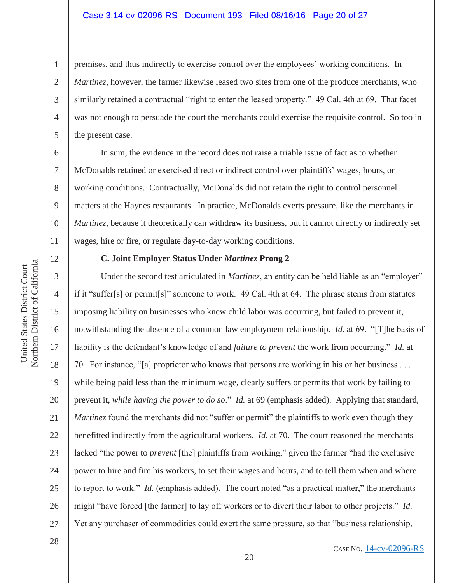#### Case 3:14-cv-02096-RS Document 193 Filed 08/16/16 Page 20 of 27

premises, and thus indirectly to exercise control over the employees' working conditions. In *Martinez*, however, the farmer likewise leased two sites from one of the produce merchants, who similarly retained a contractual "right to enter the leased property." 49 Cal. 4th at 69. That facet was not enough to persuade the court the merchants could exercise the requisite control. So too in the present case.

 In sum, the evidence in the record does not raise a triable issue of fact as to whether McDonalds retained or exercised direct or indirect control over plaintiffs' wages, hours, or working conditions. Contractually, McDonalds did not retain the right to control personnel matters at the Haynes restaurants. In practice, McDonalds exerts pressure, like the merchants in *Martinez*, because it theoretically can withdraw its business, but it cannot directly or indirectly set wages, hire or fire, or regulate day-to-day working conditions.

# 12 13

1

2

3

4

5

6

7

8

9

10

11

14

15

16

17

18

19

20

21

22

23

24

25

26

27

28

# **C. Joint Employer Status Under** *Martinez* **Prong 2**

Under the second test articulated in *Martinez*, an entity can be held liable as an "employer" if it "suffer[s] or permit[s]" someone to work. 49 Cal. 4th at 64. The phrase stems from statutes imposing liability on businesses who knew child labor was occurring, but failed to prevent it, notwithstanding the absence of a common law employment relationship. *Id.* at 69. "[T]he basis of liability is the defendant's knowledge of and *failure to prevent* the work from occurring." *Id.* at 70. For instance, "[a] proprietor who knows that persons are working in his or her business . . . while being paid less than the minimum wage, clearly suffers or permits that work by failing to prevent it, *while having the power to do so*." *Id.* at 69 (emphasis added). Applying that standard, *Martinez* found the merchants did not "suffer or permit" the plaintiffs to work even though they benefitted indirectly from the agricultural workers. *Id.* at 70. The court reasoned the merchants lacked "the power to *prevent* [the] plaintiffs from working," given the farmer "had the exclusive power to hire and fire his workers, to set their wages and hours, and to tell them when and where to report to work." *Id.* (emphasis added). The court noted "as a practical matter," the merchants might "have forced [the farmer] to lay off workers or to divert their labor to other projects." *Id.* Yet any purchaser of commodities could exert the same pressure, so that "business relationship,

#### CASE NO. 14-cv-02096-RS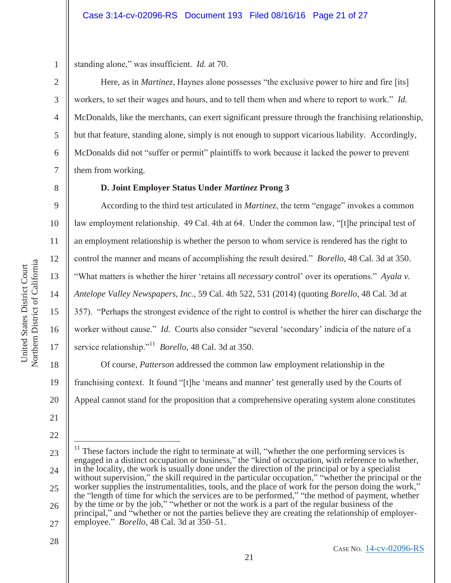3

4

5

6

7

8

9

10

11

12

13

14

15

16

17

18

19

20

21

22

28

standing alone," was insufficient. *Id.* at 70.

 Here, as in *Martinez*, Haynes alone possesses "the exclusive power to hire and fire [its] workers, to set their wages and hours, and to tell them when and where to report to work." *Id.* McDonalds, like the merchants, can exert significant pressure through the franchising relationship, but that feature, standing alone, simply is not enough to support vicarious liability. Accordingly, McDonalds did not "suffer or permit" plaintiffs to work because it lacked the power to prevent them from working.

# **D. Joint Employer Status Under** *Martinez* **Prong 3**

 According to the third test articulated in *Martinez*, the term "engage" invokes a common law employment relationship. 49 Cal. 4th at 64. Under the common law, "[t]he principal test of an employment relationship is whether the person to whom service is rendered has the right to control the manner and means of accomplishing the result desired." *Borello*, 48 Cal. 3d at 350. "What matters is whether the hirer 'retains all *necessary* control' over its operations." *Ayala v. Antelope Valley Newspapers, Inc.*, 59 Cal. 4th 522, 531 (2014) (quoting *Borello*, 48 Cal. 3d at 357). "Perhaps the strongest evidence of the right to control is whether the hirer can discharge the worker without cause." *Id.* Courts also consider "several 'secondary' indicia of the nature of a service relationship."11 *Borello*, 48 Cal. 3d at 350.

 Of course, *Patterson* addressed the common law employment relationship in the franchising context. It found "[t]he 'means and manner' test generally used by the Courts of Appeal cannot stand for the proposition that a comprehensive operating system alone constitutes

<sup>23</sup>  24 25 26 27  $\overline{a}$ These factors include the right to terminate at will, "whether the one performing services is engaged in a distinct occupation or business," the "kind of occupation, with reference to whether, in the locality, the work is usually done under the direction of the principal or by a specialist without supervision," the skill required in the particular occupation," "whether the principal or the worker supplies the instrumentalities, tools, and the place of work for the person doing the work," the "length of time for which the services are to be performed," "the method of payment, whether by the time or by the job," "whether or not the work is a part of the regular business of the principal," and "whether or not the parties believe they are creating the relationship of employeremployee." *Borello*, 48 Cal. 3d at 350–51.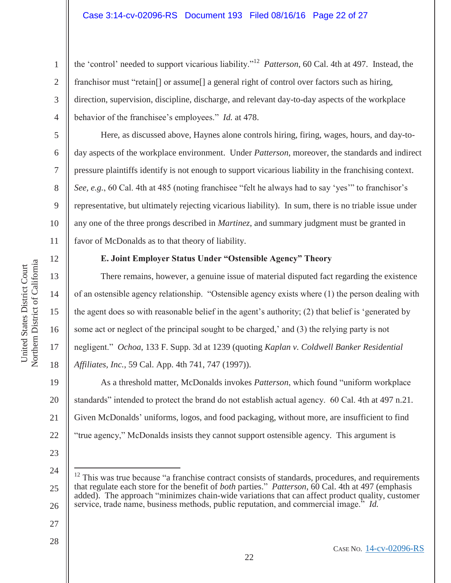the 'control' needed to support vicarious liability."12 *Patterson*, 60 Cal. 4th at 497. Instead, the franchisor must "retain<sup>[]</sup> or assume<sup>[]</sup> a general right of control over factors such as hiring, direction, supervision, discipline, discharge, and relevant day-to-day aspects of the workplace behavior of the franchisee's employees." *Id.* at 478.

 Here, as discussed above, Haynes alone controls hiring, firing, wages, hours, and day-today aspects of the workplace environment. Under *Patterson*, moreover, the standards and indirect pressure plaintiffs identify is not enough to support vicarious liability in the franchising context. *See, e.g.*, 60 Cal. 4th at 485 (noting franchisee "felt he always had to say 'yes'" to franchisor's representative, but ultimately rejecting vicarious liability). In sum, there is no triable issue under any one of the three prongs described in *Martinez*, and summary judgment must be granted in favor of McDonalds as to that theory of liability.

12

13

14

15

United States District Court Northern District of California

Northern District of California United States District Court

16

17

18

19

21

1

2

3

4

5

6

7

8

9

10

11

# **E. Joint Employer Status Under "Ostensible Agency" Theory**

 There remains, however, a genuine issue of material disputed fact regarding the existence of an ostensible agency relationship. "Ostensible agency exists where (1) the person dealing with the agent does so with reasonable belief in the agent's authority; (2) that belief is 'generated by some act or neglect of the principal sought to be charged,' and (3) the relying party is not negligent." *Ochoa*, 133 F. Supp. 3d at 1239 (quoting *Kaplan v. Coldwell Banker Residential Affiliates, Inc.*, 59 Cal. App. 4th 741, 747 (1997)).

20 22 As a threshold matter, McDonalds invokes *Patterson*, which found "uniform workplace standards" intended to protect the brand do not establish actual agency. 60 Cal. 4th at 497 n.21. Given McDonalds' uniforms, logos, and food packaging, without more, are insufficient to find "true agency," McDonalds insists they cannot support ostensible agency. This argument is

23 24

 $\overline{a}$ 

- 25 26  $12$  This was true because "a franchise contract consists of standards, procedures, and requirements that regulate each store for the benefit of *both* parties." *Patterson*, 60 Cal. 4th at 497 (emphasis added). The approach "minimizes chain-wide variations that can affect product quality, customer service, trade name, business methods, public reputation, and commercial image." *Id.*
- 27
- 28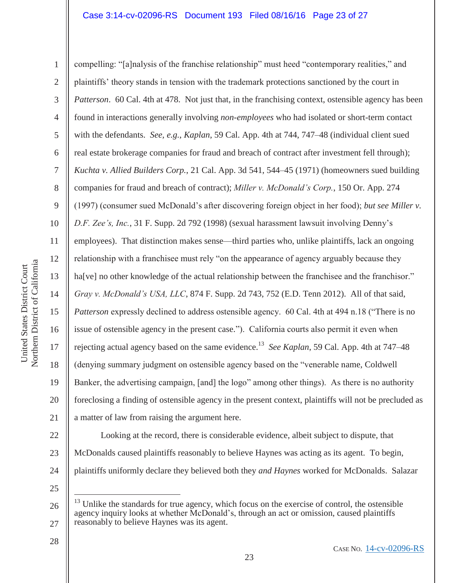Northern District of California Northern District of California

United States District Court

United States District Court

1 2 3 4 5 6 7 8 9 10 11 12 13 14 15 16 17 18 19 20 21 compelling: "[a]nalysis of the franchise relationship" must heed "contemporary realities," and plaintiffs' theory stands in tension with the trademark protections sanctioned by the court in *Patterson.* 60 Cal. 4th at 478. Not just that, in the franchising context, ostensible agency has been found in interactions generally involving *non-employees* who had isolated or short-term contact with the defendants. *See, e.g.*, *Kaplan*, 59 Cal. App. 4th at 744, 747–48 (individual client sued real estate brokerage companies for fraud and breach of contract after investment fell through); *Kuchta v. Allied Builders Corp.*, 21 Cal. App. 3d 541, 544–45 (1971) (homeowners sued building companies for fraud and breach of contract); *Miller v. McDonald's Corp.*, 150 Or. App. 274 (1997) (consumer sued McDonald's after discovering foreign object in her food); *but see Miller v. D.F. Zee's, Inc.*, 31 F. Supp. 2d 792 (1998) (sexual harassment lawsuit involving Denny's employees). That distinction makes sense—third parties who, unlike plaintiffs, lack an ongoing relationship with a franchisee must rely "on the appearance of agency arguably because they ha<sup>[ve]</sup> no other knowledge of the actual relationship between the franchisee and the franchisor." *Gray v. McDonald's USA, LLC*, 874 F. Supp. 2d 743, 752 (E.D. Tenn 2012). All of that said, *Patterson* expressly declined to address ostensible agency. 60 Cal. 4th at 494 n.18 ("There is no issue of ostensible agency in the present case."). California courts also permit it even when rejecting actual agency based on the same evidence.13 *See Kaplan*, 59 Cal. App. 4th at 747–48 (denying summary judgment on ostensible agency based on the "venerable name, Coldwell Banker, the advertising campaign, [and] the logo" among other things). As there is no authority foreclosing a finding of ostensible agency in the present context, plaintiffs will not be precluded as a matter of law from raising the argument here.

22 23 24 Looking at the record, there is considerable evidence, albeit subject to dispute, that McDonalds caused plaintiffs reasonably to believe Haynes was acting as its agent. To begin, plaintiffs uniformly declare they believed both they *and Haynes* worked for McDonalds. Salazar

25

 $\overline{a}$ 

<sup>26</sup>  27  $13$  Unlike the standards for true agency, which focus on the exercise of control, the ostensible agency inquiry looks at whether McDonald's, through an act or omission, caused plaintiffs reasonably to believe Haynes was its agent.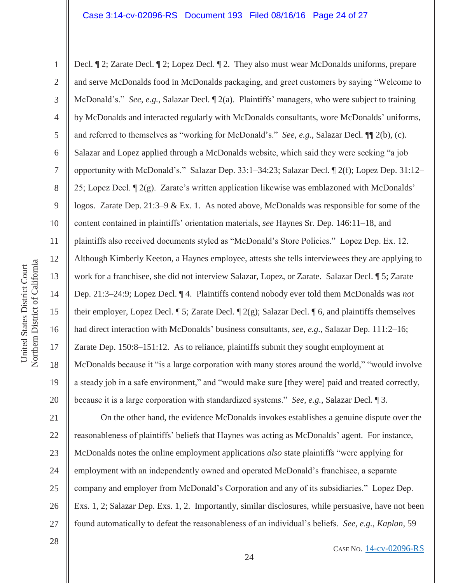1 2 3 4 5 6 7 8 9 10 11 12 13 14 15 16 17 18 19 20 Decl. ¶ 2; Zarate Decl. ¶ 2; Lopez Decl. ¶ 2. They also must wear McDonalds uniforms, prepare and serve McDonalds food in McDonalds packaging, and greet customers by saying "Welcome to McDonald's." *See, e.g.*, Salazar Decl. ¶ 2(a). Plaintiffs' managers, who were subject to training by McDonalds and interacted regularly with McDonalds consultants, wore McDonalds' uniforms, and referred to themselves as "working for McDonald's." *See, e.g.*, Salazar Decl. ¶¶ 2(b), (c). Salazar and Lopez applied through a McDonalds website, which said they were seeking "a job opportunity with McDonald's." Salazar Dep. 33:1–34:23; Salazar Decl. ¶ 2(f); Lopez Dep. 31:12– 25; Lopez Decl. ¶ 2(g). Zarate's written application likewise was emblazoned with McDonalds' logos. Zarate Dep. 21:3–9 & Ex. 1. As noted above, McDonalds was responsible for some of the content contained in plaintiffs' orientation materials, *see* Haynes Sr. Dep. 146:11–18, and plaintiffs also received documents styled as "McDonald's Store Policies." Lopez Dep. Ex. 12. Although Kimberly Keeton, a Haynes employee, attests she tells interviewees they are applying to work for a franchisee, she did not interview Salazar, Lopez, or Zarate. Salazar Decl. ¶ 5; Zarate Dep. 21:3–24:9; Lopez Decl. ¶ 4. Plaintiffs contend nobody ever told them McDonalds was *not* their employer, Lopez Decl.  $\P$  5; Zarate Decl.  $\P$  2(g); Salazar Decl.  $\P$  6, and plaintiffs themselves had direct interaction with McDonalds' business consultants, *see, e.g.*, Salazar Dep. 111:2–16; Zarate Dep. 150:8–151:12. As to reliance, plaintiffs submit they sought employment at McDonalds because it "is a large corporation with many stores around the world," "would involve a steady job in a safe environment," and "would make sure [they were] paid and treated correctly, because it is a large corporation with standardized systems." *See, e.g.*, Salazar Decl. ¶ 3.

21 22 23 24 25 26 27 On the other hand, the evidence McDonalds invokes establishes a genuine dispute over the reasonableness of plaintiffs' beliefs that Haynes was acting as McDonalds' agent. For instance, McDonalds notes the online employment applications *also* state plaintiffs "were applying for employment with an independently owned and operated McDonald's franchisee, a separate company and employer from McDonald's Corporation and any of its subsidiaries." Lopez Dep. Exs. 1, 2; Salazar Dep. Exs. 1, 2. Importantly, similar disclosures, while persuasive, have not been found automatically to defeat the reasonableness of an individual's beliefs. *See, e.g.*, *Kaplan*, 59

Northern District of California Northern District of California United States District Court United States District Court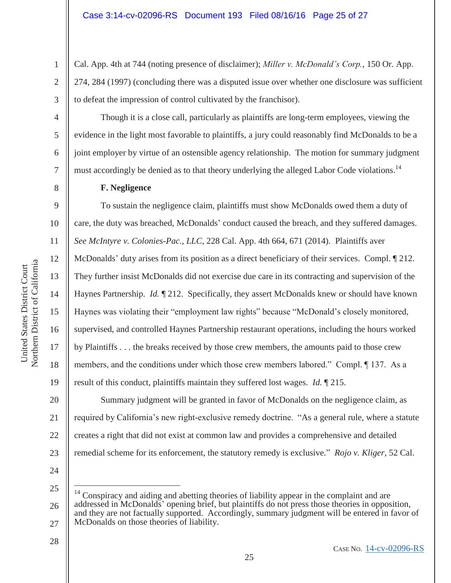Cal. App. 4th at 744 (noting presence of disclaimer); *Miller v. McDonald's Corp.*, 150 Or. App. 274, 284 (1997) (concluding there was a disputed issue over whether one disclosure was sufficient to defeat the impression of control cultivated by the franchisor).

 Though it is a close call, particularly as plaintiffs are long-term employees, viewing the evidence in the light most favorable to plaintiffs, a jury could reasonably find McDonalds to be a joint employer by virtue of an ostensible agency relationship. The motion for summary judgment must accordingly be denied as to that theory underlying the alleged Labor Code violations.<sup>14</sup>

### **F. Negligence**

 To sustain the negligence claim, plaintiffs must show McDonalds owed them a duty of care, the duty was breached, McDonalds' conduct caused the breach, and they suffered damages. *See McIntyre v. Colonies-Pac., LLC*, 228 Cal. App. 4th 664, 671 (2014). Plaintiffs aver McDonalds' duty arises from its position as a direct beneficiary of their services. Compl. ¶ 212. They further insist McDonalds did not exercise due care in its contracting and supervision of the Haynes Partnership. *Id.* 1212. Specifically, they assert McDonalds knew or should have known Haynes was violating their "employment law rights" because "McDonald's closely monitored, supervised, and controlled Haynes Partnership restaurant operations, including the hours worked by Plaintiffs . . . the breaks received by those crew members, the amounts paid to those crew members, and the conditions under which those crew members labored." Compl. ¶ 137. As a result of this conduct, plaintiffs maintain they suffered lost wages. *Id.* ¶ 215.

20 21 22 23 Summary judgment will be granted in favor of McDonalds on the negligence claim, as required by California's new right-exclusive remedy doctrine. "As a general rule, where a statute creates a right that did not exist at common law and provides a comprehensive and detailed remedial scheme for its enforcement, the statutory remedy is exclusive." *Rojo v. Kliger*, 52 Cal.

24

 $\overline{a}$ 

28

25 26 27 Conspiracy and aiding and abetting theories of liability appear in the complaint and are addressed in McDonalds' opening brief, but plaintiffs do not press those theories in opposition, and they are not factually supported. Accordingly, summary judgment will be entered in favor of McDonalds on those theories of liability.

1

2

3

4

5

6

7

8

9

10

11

12

13

14

15

16

17

18

19

CASE NO. 14-cv-02096-RS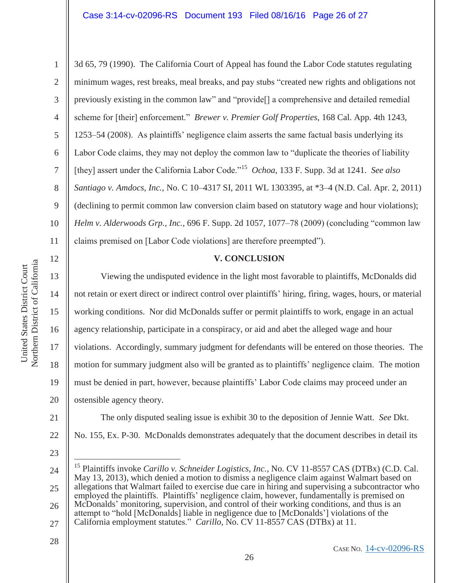13

14

15

16

17

18

19

20

21

22

1 2 3 4 5 6 7 8 9 10 11 3d 65, 79 (1990). The California Court of Appeal has found the Labor Code statutes regulating minimum wages, rest breaks, meal breaks, and pay stubs "created new rights and obligations not previously existing in the common law" and "provide[] a comprehensive and detailed remedial scheme for [their] enforcement." *Brewer v. Premier Golf Properties*, 168 Cal. App. 4th 1243, 1253–54 (2008). As plaintiffs' negligence claim asserts the same factual basis underlying its Labor Code claims, they may not deploy the common law to "duplicate the theories of liability [they] assert under the California Labor Code."15 *Ochoa*, 133 F. Supp. 3d at 1241. *See also Santiago v. Amdocs, Inc.*, No. C 10–4317 SI, 2011 WL 1303395, at \*3–4 (N.D. Cal. Apr. 2, 2011) (declining to permit common law conversion claim based on statutory wage and hour violations); *Helm v. Alderwoods Grp., Inc.*, 696 F. Supp. 2d 1057, 1077–78 (2009) (concluding "common law claims premised on [Labor Code violations] are therefore preempted").

# **V. CONCLUSION**

Viewing the undisputed evidence in the light most favorable to plaintiffs, McDonalds did not retain or exert direct or indirect control over plaintiffs' hiring, firing, wages, hours, or material working conditions. Nor did McDonalds suffer or permit plaintiffs to work, engage in an actual agency relationship, participate in a conspiracy, or aid and abet the alleged wage and hour violations. Accordingly, summary judgment for defendants will be entered on those theories. The motion for summary judgment also will be granted as to plaintiffs' negligence claim. The motion must be denied in part, however, because plaintiffs' Labor Code claims may proceed under an ostensible agency theory.

 The only disputed sealing issue is exhibit 30 to the deposition of Jennie Watt. *See* Dkt. No. 155, Ex. P-30. McDonalds demonstrates adequately that the document describes in detail its

23

 $\overline{a}$ 

<sup>24</sup>  25 26 27 <sup>15</sup> Plaintiffs invoke *Carillo v. Schneider Logistics, Inc.*, No. CV 11-8557 CAS (DTBx) (C.D. Cal. May 13, 2013), which denied a motion to dismiss a negligence claim against Walmart based on allegations that Walmart failed to exercise due care in hiring and supervising a subcontractor who employed the plaintiffs. Plaintiffs' negligence claim, however, fundamentally is premised on McDonalds' monitoring, supervision, and control of their working conditions, and thus is an attempt to "hold [McDonalds] liable in negligence due to [McDonalds'] violations of the California employment statutes." *Carillo*, No. CV 11-8557 CAS (DTBx) at 11.